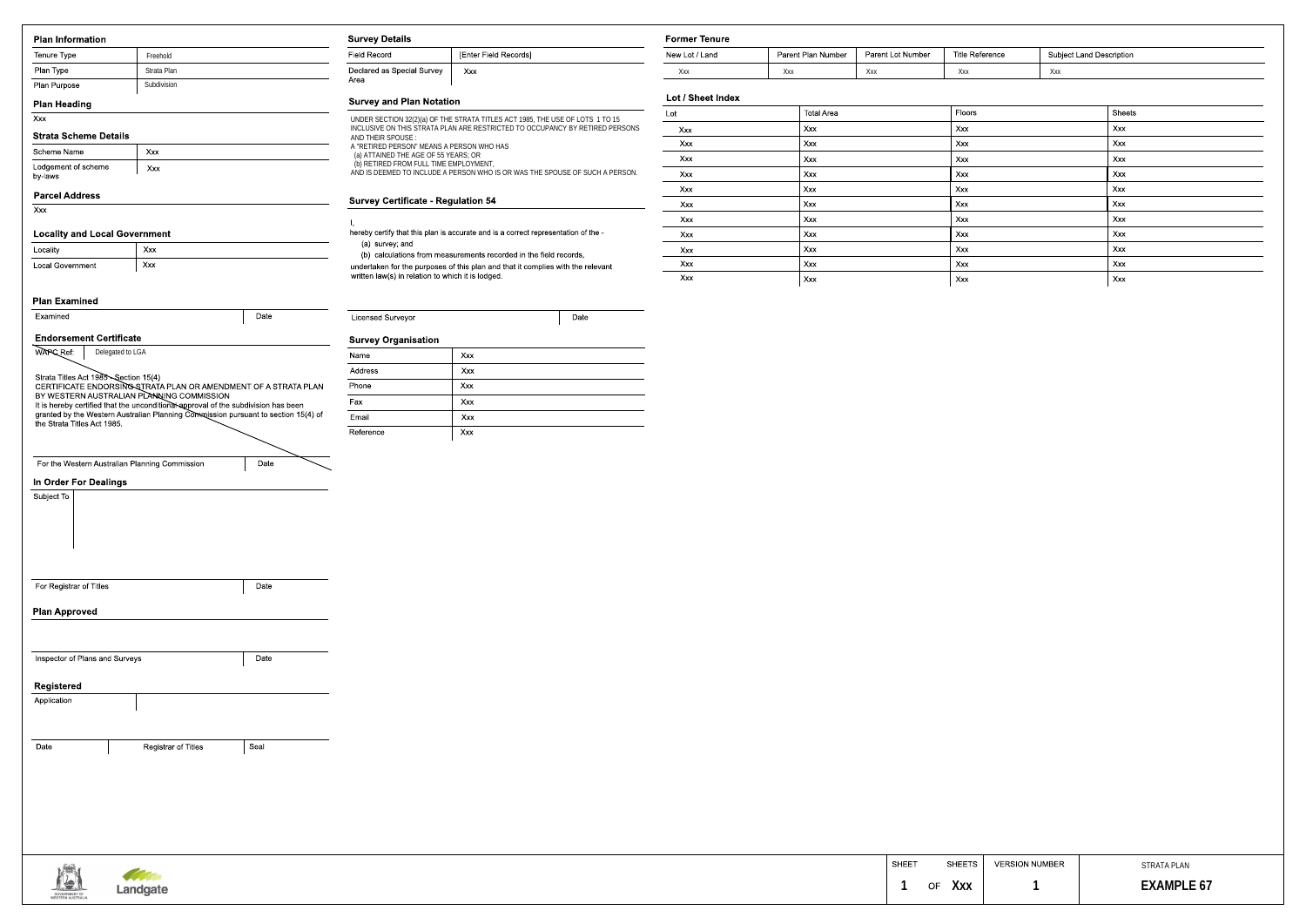| <b>Plan Information</b>                        |                                                                                                                                                                          | <b>Survey Details</b>                                                                |                                                                                                                                                               | <b>Former Tenure</b> |     |                          |                   |                        |                       |                                 |
|------------------------------------------------|--------------------------------------------------------------------------------------------------------------------------------------------------------------------------|--------------------------------------------------------------------------------------|---------------------------------------------------------------------------------------------------------------------------------------------------------------|----------------------|-----|--------------------------|-------------------|------------------------|-----------------------|---------------------------------|
| Tenure Type                                    | Freehold                                                                                                                                                                 | <b>Field Record</b>                                                                  | [Enter Field Records]                                                                                                                                         | New Lot / Land       |     | Parent Plan Number       | Parent Lot Number | <b>Title Reference</b> |                       | <b>Subject Land Description</b> |
| Plan Type                                      | Strata Plan                                                                                                                                                              | Declared as Special Survey                                                           | Xxx                                                                                                                                                           | Xxx                  | Xxx | Ххх                      |                   | Ххх                    | Ххх                   |                                 |
| <b>Plan Purpose</b>                            | Subdivision                                                                                                                                                              | Area                                                                                 |                                                                                                                                                               |                      |     |                          |                   |                        |                       |                                 |
| <b>Plan Heading</b>                            |                                                                                                                                                                          | <b>Survey and Plan Notation</b>                                                      |                                                                                                                                                               | Lot / Sheet Index    |     |                          |                   | Floors                 |                       |                                 |
| Xxx                                            |                                                                                                                                                                          |                                                                                      | UNDER SECTION 32(2)(a) OF THE STRATA TITLES ACT 1985, THE USE OF LOTS 1 TO 15<br>INCLUSIVE ON THIS STRATA PLAN ARE RESTRICTED TO OCCUPANCY BY RETIRED PERSONS | Lot                  |     | <b>Total Area</b><br>Xxx |                   |                        |                       | Sheets<br>Xxx                   |
| <b>Strata Scheme Details</b>                   |                                                                                                                                                                          | AND THEIR SPOUSE:                                                                    |                                                                                                                                                               | Xxx<br>Xxx           |     | Xxx                      |                   | Xxx<br>Xxx             |                       | Xxx                             |
| Scheme Name                                    | Xxx                                                                                                                                                                      | A "RETIRED PERSON" MEANS A PERSON WHO HAS<br>(a) ATTAINED THE AGE OF 55 YEARS; OR    |                                                                                                                                                               | Xxx                  |     | Xxx                      |                   | Xxx                    |                       | Xxx                             |
| Lodgement of scheme<br>by-laws                 | Xxx                                                                                                                                                                      | (b) RETIRED FROM FULL TIME EMPLOYMENT,                                               | AND IS DEEMED TO INCLUDE A PERSON WHO IS OR WAS THE SPOUSE OF SUCH A PERSON.                                                                                  | Xxx                  |     | Xxx                      |                   | Xxx                    |                       | Xxx                             |
|                                                |                                                                                                                                                                          |                                                                                      |                                                                                                                                                               | Xxx                  |     | Xxx                      |                   | Xxx                    |                       | Xxx                             |
| <b>Parcel Address</b>                          |                                                                                                                                                                          | <b>Survey Certificate - Regulation 54</b>                                            |                                                                                                                                                               | Xxx                  |     | Xxx                      |                   | Xxx                    |                       | Xxx                             |
| Xxx                                            |                                                                                                                                                                          |                                                                                      |                                                                                                                                                               | Xxx                  |     | Xxx                      |                   | Xxx                    |                       | Xxx                             |
| <b>Locality and Local Government</b>           |                                                                                                                                                                          |                                                                                      | hereby certify that this plan is accurate and is a correct representation of the -                                                                            | Xxx                  |     | Xxx                      |                   | Xxx                    |                       | Xxx                             |
| Locality                                       | Xxx                                                                                                                                                                      | (a) survey, and<br>(b) calculations from measurements recorded in the field records, |                                                                                                                                                               | Xxx                  |     | Xxx                      |                   | Xxx                    |                       | Xxx                             |
| Xxx<br><b>Local Government</b>                 |                                                                                                                                                                          | undertaken for the purposes of this plan and that it complies with the relevant      |                                                                                                                                                               | Xxx                  |     | Xxx                      |                   | Xxx                    |                       | Xxx                             |
|                                                |                                                                                                                                                                          | written law(s) in relation to which it is lodged.                                    |                                                                                                                                                               | Xxx                  |     | $\vert$ Xxx              |                   | Xxx                    |                       | Xxx                             |
| <b>Plan Examined</b>                           |                                                                                                                                                                          |                                                                                      |                                                                                                                                                               |                      |     |                          |                   |                        |                       |                                 |
| Examined                                       | Date                                                                                                                                                                     | <b>Licensed Surveyor</b>                                                             | Date                                                                                                                                                          |                      |     |                          |                   |                        |                       |                                 |
| <b>Endorsement Certificate</b>                 |                                                                                                                                                                          |                                                                                      |                                                                                                                                                               |                      |     |                          |                   |                        |                       |                                 |
| <b>WAPC Ref</b><br>Delegated to LGA            |                                                                                                                                                                          | <b>Survey Organisation</b><br>Name                                                   | Xxx                                                                                                                                                           |                      |     |                          |                   |                        |                       |                                 |
|                                                |                                                                                                                                                                          | Address                                                                              | Xxx                                                                                                                                                           |                      |     |                          |                   |                        |                       |                                 |
|                                                | Strata Titles Act 1985—Section 15(4)<br>CERTIFICATE ENDORSING STRATA PLAN OR AMENDMENT OF A STRATA PLAN<br>BY WESTERN AUSTRALIAN PLANNING COMMISSION                     | Phone                                                                                | Xxx                                                                                                                                                           |                      |     |                          |                   |                        |                       |                                 |
|                                                |                                                                                                                                                                          | Fax                                                                                  | Xxx                                                                                                                                                           |                      |     |                          |                   |                        |                       |                                 |
|                                                | It is hereby certified that the unconditional approval of the subdivision has been<br>granted by the Western Australian Planning Commussion pursuant to section 15(4) of | Email                                                                                | Xxx                                                                                                                                                           |                      |     |                          |                   |                        |                       |                                 |
| the Strata Titles Act 1985.                    |                                                                                                                                                                          | Reference                                                                            | Xxx                                                                                                                                                           |                      |     |                          |                   |                        |                       |                                 |
|                                                |                                                                                                                                                                          |                                                                                      |                                                                                                                                                               |                      |     |                          |                   |                        |                       |                                 |
| For the Western Australian Planning Commission | Date                                                                                                                                                                     |                                                                                      |                                                                                                                                                               |                      |     |                          |                   |                        |                       |                                 |
| <b>In Order For Dealings</b>                   |                                                                                                                                                                          |                                                                                      |                                                                                                                                                               |                      |     |                          |                   |                        |                       |                                 |
| Subject To                                     |                                                                                                                                                                          |                                                                                      |                                                                                                                                                               |                      |     |                          |                   |                        |                       |                                 |
|                                                |                                                                                                                                                                          |                                                                                      |                                                                                                                                                               |                      |     |                          |                   |                        |                       |                                 |
|                                                |                                                                                                                                                                          |                                                                                      |                                                                                                                                                               |                      |     |                          |                   |                        |                       |                                 |
|                                                |                                                                                                                                                                          |                                                                                      |                                                                                                                                                               |                      |     |                          |                   |                        |                       |                                 |
|                                                |                                                                                                                                                                          |                                                                                      |                                                                                                                                                               |                      |     |                          |                   |                        |                       |                                 |
|                                                |                                                                                                                                                                          |                                                                                      |                                                                                                                                                               |                      |     |                          |                   |                        |                       |                                 |
| For Registrar of Titles                        | Date                                                                                                                                                                     |                                                                                      |                                                                                                                                                               |                      |     |                          |                   |                        |                       |                                 |
|                                                |                                                                                                                                                                          |                                                                                      |                                                                                                                                                               |                      |     |                          |                   |                        |                       |                                 |
| <b>Plan Approved</b>                           |                                                                                                                                                                          |                                                                                      |                                                                                                                                                               |                      |     |                          |                   |                        |                       |                                 |
|                                                |                                                                                                                                                                          |                                                                                      |                                                                                                                                                               |                      |     |                          |                   |                        |                       |                                 |
| Inspector of Plans and Surveys                 | Date                                                                                                                                                                     |                                                                                      |                                                                                                                                                               |                      |     |                          |                   |                        |                       |                                 |
|                                                |                                                                                                                                                                          |                                                                                      |                                                                                                                                                               |                      |     |                          |                   |                        |                       |                                 |
| <b>Registered</b>                              |                                                                                                                                                                          |                                                                                      |                                                                                                                                                               |                      |     |                          |                   |                        |                       |                                 |
| Application                                    |                                                                                                                                                                          |                                                                                      |                                                                                                                                                               |                      |     |                          |                   |                        |                       |                                 |
|                                                |                                                                                                                                                                          |                                                                                      |                                                                                                                                                               |                      |     |                          |                   |                        |                       |                                 |
|                                                |                                                                                                                                                                          |                                                                                      |                                                                                                                                                               |                      |     |                          |                   |                        |                       |                                 |
| Date                                           | Seal<br><b>Registrar of Titles</b>                                                                                                                                       |                                                                                      |                                                                                                                                                               |                      |     |                          |                   |                        |                       |                                 |
|                                                |                                                                                                                                                                          |                                                                                      |                                                                                                                                                               |                      |     |                          |                   |                        |                       |                                 |
|                                                |                                                                                                                                                                          |                                                                                      |                                                                                                                                                               |                      |     |                          |                   |                        |                       |                                 |
|                                                |                                                                                                                                                                          |                                                                                      |                                                                                                                                                               |                      |     |                          |                   |                        |                       |                                 |
|                                                |                                                                                                                                                                          |                                                                                      |                                                                                                                                                               |                      |     |                          |                   |                        |                       |                                 |
|                                                |                                                                                                                                                                          |                                                                                      |                                                                                                                                                               |                      |     |                          |                   |                        |                       |                                 |
|                                                |                                                                                                                                                                          |                                                                                      |                                                                                                                                                               |                      |     |                          |                   |                        |                       |                                 |
|                                                |                                                                                                                                                                          |                                                                                      |                                                                                                                                                               |                      |     |                          | <b>SHEET</b>      | <b>SHEETS</b>          | <b>VERSION NUMBER</b> | <b>STRATA PLAN</b>              |
|                                                |                                                                                                                                                                          |                                                                                      |                                                                                                                                                               |                      |     |                          |                   |                        |                       |                                 |
| GOVERNMENT OF<br>WESTERN AUSTRALIA             | Landgate                                                                                                                                                                 |                                                                                      |                                                                                                                                                               |                      |     |                          | OF                | Ххх                    |                       | <b>EXAMPL</b>                   |

| Former Tenure  |                    |                   |                 |                          |
|----------------|--------------------|-------------------|-----------------|--------------------------|
| New Lot / Land | Parent Plan Number | Parent Lot Number | Title Reference | Subject Land Description |
| Xxx            | Xxx                | Xxx               | Xxx             | Xxx                      |

## **Sheet Index**

| Lot | <b>Total Area</b> | Floors | Sheets |
|-----|-------------------|--------|--------|
| Xxx | Xxx               | Xxx    | Xxx    |
| Xxx | Xxx               | Xxx    | Xxx    |
| Xxx | Xxx               | Xxx    | Xxx    |
| Xxx | Xxx               | Xxx    | Xxx    |
| Xxx | Xxx               | Xxx    | Xxx    |
| Xxx | Xxx               | Xxx    | Xxx    |
| Xxx | Xxx               | Xxx    | Xxx    |
| Xxx | Xxx               | Xxx    | Xxx    |
| Xxx | Xxx               | Xxx    | Xxx    |
| Xxx | Xxx               | Xxx    | Xxx    |
| Xxx | Xxx               | Xxx    | Xxx    |
|     |                   |        |        |

| SHEET | <b>SHEETS</b>    | <b>VERSION NUMBER</b> | STRATA PLAN       |
|-------|------------------|-----------------------|-------------------|
|       | <b>OF</b><br>Ххх |                       | <b>EXAMPLE 67</b> |